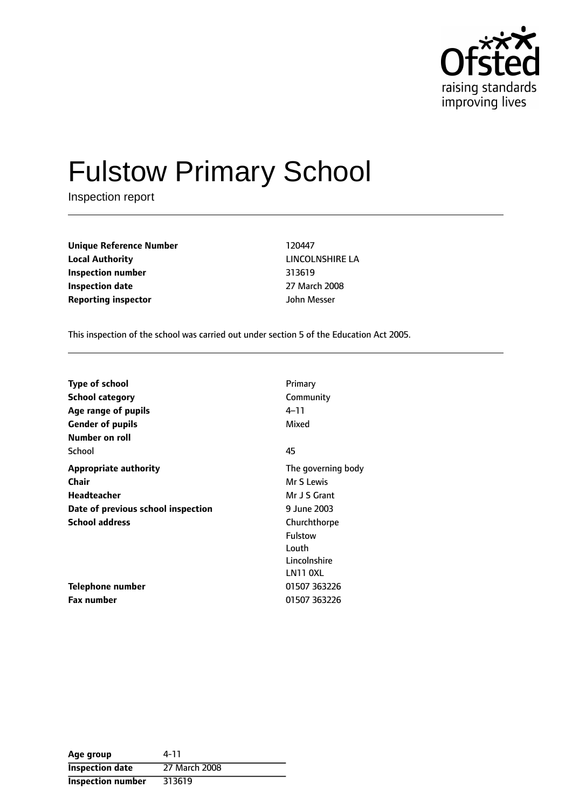

# Fulstow Primary School

Inspection report

**Unique Reference Number** 120447 **Local Authority** LINCOLNSHIRE LA **Inspection number** 313619 **Inspection date** 27 March 2008 **Reporting inspector** John Messer

This inspection of the school was carried out under section 5 of the Education Act 2005.

| <b>Type of school</b>              | Primary            |
|------------------------------------|--------------------|
| <b>School category</b>             | Community          |
| Age range of pupils                | 4–11               |
| <b>Gender of pupils</b>            | Mixed              |
| Number on roll                     |                    |
| School                             | 45                 |
| <b>Appropriate authority</b>       | The governing body |
| Chair                              | Mr S Lewis         |
| <b>Headteacher</b>                 | Mr J S Grant       |
| Date of previous school inspection | 9 June 2003        |
| <b>School address</b>              | Churchthorpe       |
|                                    | Fulstow            |
|                                    | Louth              |
|                                    | Lincolnshire       |
|                                    | LN11 OXL           |
| Telephone number                   | 01507 363226       |
| <b>Fax number</b>                  | 01507 363226       |

| Age group                | 4-11          |
|--------------------------|---------------|
| <b>Inspection date</b>   | 27 March 2008 |
| <b>Inspection number</b> | 313619        |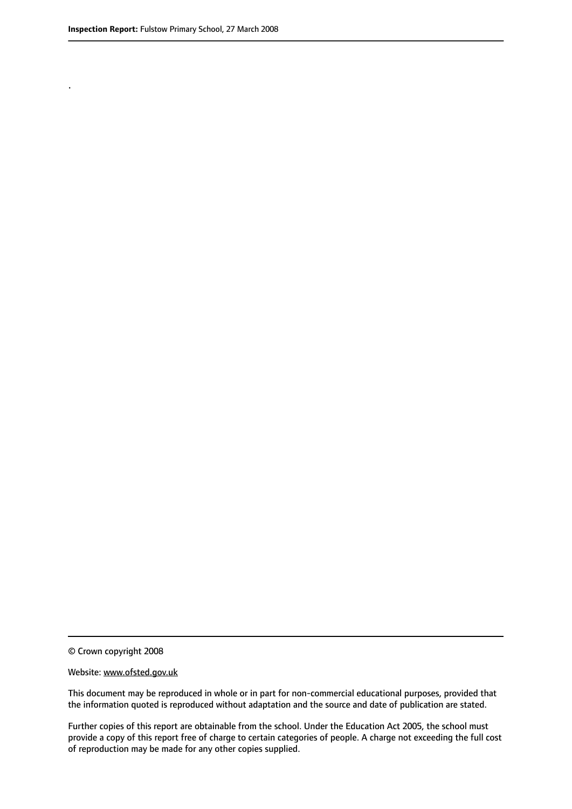.

© Crown copyright 2008

#### Website: www.ofsted.gov.uk

This document may be reproduced in whole or in part for non-commercial educational purposes, provided that the information quoted is reproduced without adaptation and the source and date of publication are stated.

Further copies of this report are obtainable from the school. Under the Education Act 2005, the school must provide a copy of this report free of charge to certain categories of people. A charge not exceeding the full cost of reproduction may be made for any other copies supplied.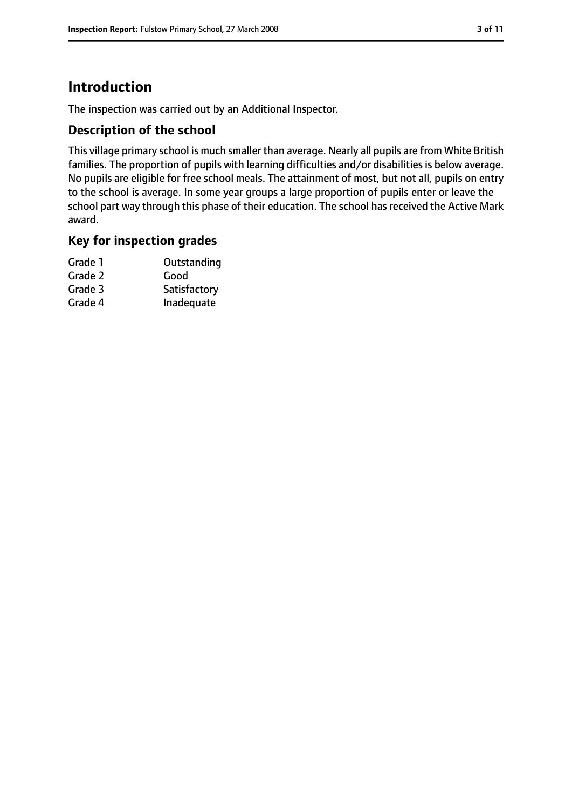# **Introduction**

The inspection was carried out by an Additional Inspector.

### **Description of the school**

This village primary school is much smaller than average. Nearly all pupils are from White British families. The proportion of pupils with learning difficulties and/or disabilities is below average. No pupils are eligible for free school meals. The attainment of most, but not all, pupils on entry to the school is average. In some year groups a large proportion of pupils enter or leave the school part way through this phase of their education. The school has received the Active Mark award.

#### **Key for inspection grades**

| Grade 1 | Outstanding  |
|---------|--------------|
| Grade 2 | Good         |
| Grade 3 | Satisfactory |
| Grade 4 | Inadequate   |
|         |              |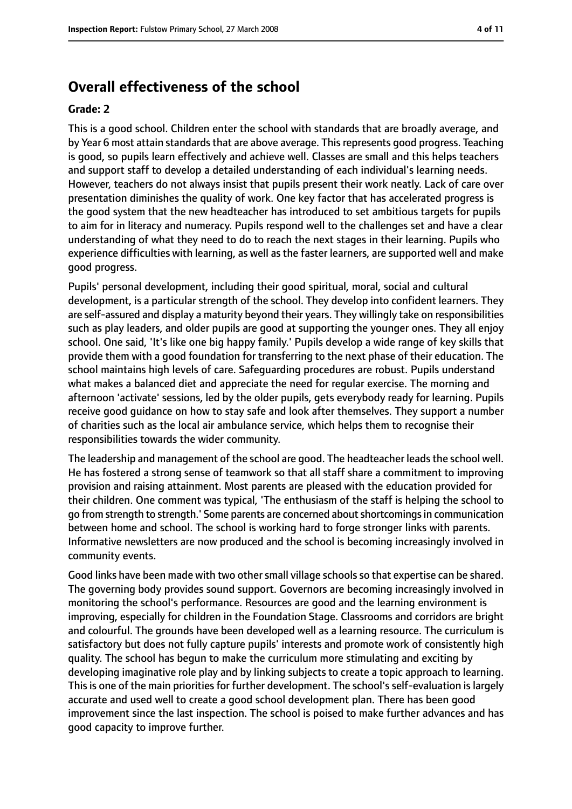# **Overall effectiveness of the school**

#### **Grade: 2**

This is a good school. Children enter the school with standards that are broadly average, and by Year 6 most attain standards that are above average. This represents good progress. Teaching is good, so pupils learn effectively and achieve well. Classes are small and this helps teachers and support staff to develop a detailed understanding of each individual's learning needs. However, teachers do not always insist that pupils present their work neatly. Lack of care over presentation diminishes the quality of work. One key factor that has accelerated progress is the good system that the new headteacher has introduced to set ambitious targets for pupils to aim for in literacy and numeracy. Pupils respond well to the challenges set and have a clear understanding of what they need to do to reach the next stages in their learning. Pupils who experience difficulties with learning, as well as the faster learners, are supported well and make good progress.

Pupils' personal development, including their good spiritual, moral, social and cultural development, is a particular strength of the school. They develop into confident learners. They are self-assured and display a maturity beyond their years. They willingly take on responsibilities such as play leaders, and older pupils are good at supporting the younger ones. They all enjoy school. One said, 'It's like one big happy family.' Pupils develop a wide range of key skills that provide them with a good foundation for transferring to the next phase of their education. The school maintains high levels of care. Safeguarding procedures are robust. Pupils understand what makes a balanced diet and appreciate the need for regular exercise. The morning and afternoon 'activate' sessions, led by the older pupils, gets everybody ready for learning. Pupils receive good guidance on how to stay safe and look after themselves. They support a number of charities such as the local air ambulance service, which helps them to recognise their responsibilities towards the wider community.

The leadership and management of the school are good. The headteacher leads the school well. He has fostered a strong sense of teamwork so that all staff share a commitment to improving provision and raising attainment. Most parents are pleased with the education provided for their children. One comment was typical, 'The enthusiasm of the staff is helping the school to go from strength to strength.' Some parents are concerned aboutshortcomingsin communication between home and school. The school is working hard to forge stronger links with parents. Informative newsletters are now produced and the school is becoming increasingly involved in community events.

Good links have been made with two other small village schools so that expertise can be shared. The governing body provides sound support. Governors are becoming increasingly involved in monitoring the school's performance. Resources are good and the learning environment is improving, especially for children in the Foundation Stage. Classrooms and corridors are bright and colourful. The grounds have been developed well as a learning resource. The curriculum is satisfactory but does not fully capture pupils' interests and promote work of consistently high quality. The school has begun to make the curriculum more stimulating and exciting by developing imaginative role play and by linking subjects to create a topic approach to learning. This is one of the main priorities for further development. The school's self-evaluation is largely accurate and used well to create a good school development plan. There has been good improvement since the last inspection. The school is poised to make further advances and has good capacity to improve further.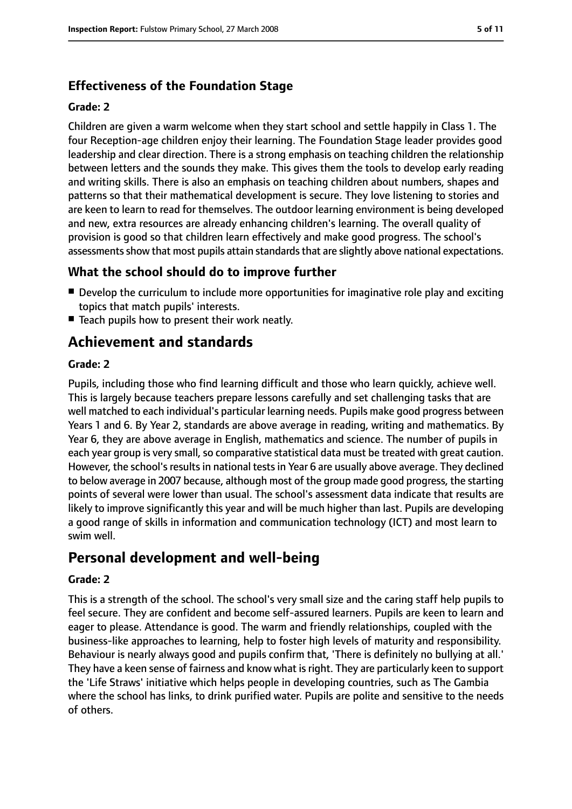# **Effectiveness of the Foundation Stage**

#### **Grade: 2**

Children are given a warm welcome when they start school and settle happily in Class 1. The four Reception-age children enjoy their learning. The Foundation Stage leader provides good leadership and clear direction. There is a strong emphasis on teaching children the relationship between letters and the sounds they make. This gives them the tools to develop early reading and writing skills. There is also an emphasis on teaching children about numbers, shapes and patterns so that their mathematical development is secure. They love listening to stories and are keen to learn to read for themselves. The outdoor learning environment is being developed and new, extra resources are already enhancing children's learning. The overall quality of provision is good so that children learn effectively and make good progress. The school's assessments show that most pupils attain standards that are slightly above national expectations.

### **What the school should do to improve further**

- Develop the curriculum to include more opportunities for imaginative role play and exciting topics that match pupils' interests.
- Teach pupils how to present their work neatly.

# **Achievement and standards**

#### **Grade: 2**

Pupils, including those who find learning difficult and those who learn quickly, achieve well. This is largely because teachers prepare lessons carefully and set challenging tasks that are well matched to each individual's particular learning needs. Pupils make good progress between Years 1 and 6. By Year 2, standards are above average in reading, writing and mathematics. By Year 6, they are above average in English, mathematics and science. The number of pupils in each year group is very small, so comparative statistical data must be treated with great caution. However, the school's results in national tests in Year 6 are usually above average. They declined to below average in 2007 because, although most of the group made good progress, the starting points of several were lower than usual. The school's assessment data indicate that results are likely to improve significantly this year and will be much higher than last. Pupils are developing a good range of skills in information and communication technology (ICT) and most learn to swim well.

# **Personal development and well-being**

#### **Grade: 2**

This is a strength of the school. The school's very small size and the caring staff help pupils to feel secure. They are confident and become self-assured learners. Pupils are keen to learn and eager to please. Attendance is good. The warm and friendly relationships, coupled with the business-like approaches to learning, help to foster high levels of maturity and responsibility. Behaviour is nearly always good and pupils confirm that, 'There is definitely no bullying at all.' They have a keen sense of fairness and know what is right. They are particularly keen to support the 'Life Straws' initiative which helps people in developing countries, such as The Gambia where the school has links, to drink purified water. Pupils are polite and sensitive to the needs of others.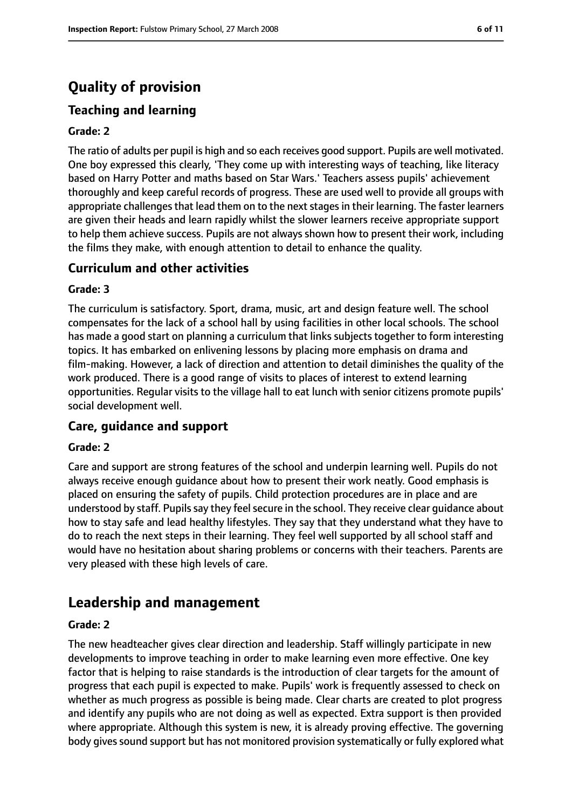# **Quality of provision**

# **Teaching and learning**

#### **Grade: 2**

The ratio of adults per pupil is high and so each receives good support. Pupils are well motivated. One boy expressed this clearly, 'They come up with interesting ways of teaching, like literacy based on Harry Potter and maths based on Star Wars.' Teachers assess pupils' achievement thoroughly and keep careful records of progress. These are used well to provide all groups with appropriate challenges that lead them on to the next stages in their learning. The faster learners are given their heads and learn rapidly whilst the slower learners receive appropriate support to help them achieve success. Pupils are not always shown how to present their work, including the films they make, with enough attention to detail to enhance the quality.

#### **Curriculum and other activities**

#### **Grade: 3**

The curriculum is satisfactory. Sport, drama, music, art and design feature well. The school compensates for the lack of a school hall by using facilities in other local schools. The school has made a good start on planning a curriculum that links subjects together to form interesting topics. It has embarked on enlivening lessons by placing more emphasis on drama and film-making. However, a lack of direction and attention to detail diminishes the quality of the work produced. There is a good range of visits to places of interest to extend learning opportunities. Regular visits to the village hall to eat lunch with senior citizens promote pupils' social development well.

#### **Care, guidance and support**

#### **Grade: 2**

Care and support are strong features of the school and underpin learning well. Pupils do not always receive enough guidance about how to present their work neatly. Good emphasis is placed on ensuring the safety of pupils. Child protection procedures are in place and are understood by staff. Pupils say they feel secure in the school. They receive clear guidance about how to stay safe and lead healthy lifestyles. They say that they understand what they have to do to reach the next steps in their learning. They feel well supported by all school staff and would have no hesitation about sharing problems or concerns with their teachers. Parents are very pleased with these high levels of care.

# **Leadership and management**

#### **Grade: 2**

The new headteacher gives clear direction and leadership. Staff willingly participate in new developments to improve teaching in order to make learning even more effective. One key factor that is helping to raise standards is the introduction of clear targets for the amount of progress that each pupil is expected to make. Pupils' work is frequently assessed to check on whether as much progress as possible is being made. Clear charts are created to plot progress and identify any pupils who are not doing as well as expected. Extra support is then provided where appropriate. Although this system is new, it is already proving effective. The governing body gives sound support but has not monitored provision systematically or fully explored what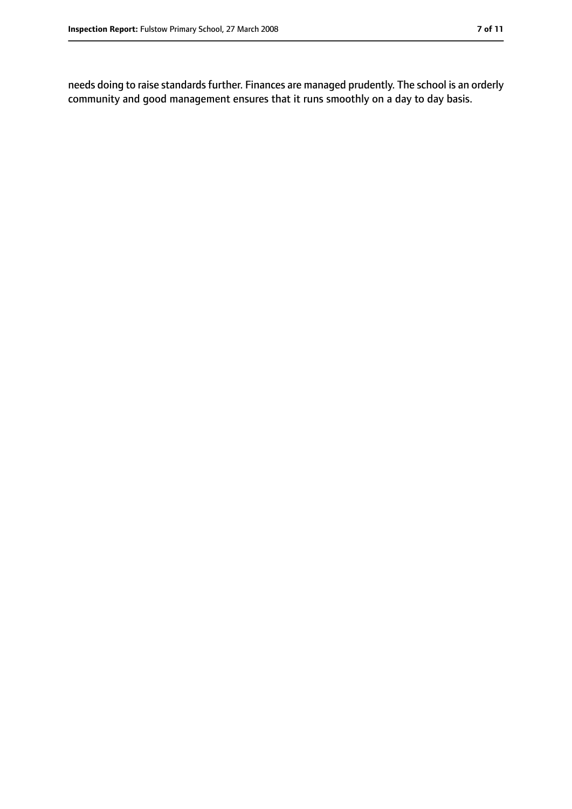needs doing to raise standards further. Finances are managed prudently. The school is an orderly community and good management ensures that it runs smoothly on a day to day basis.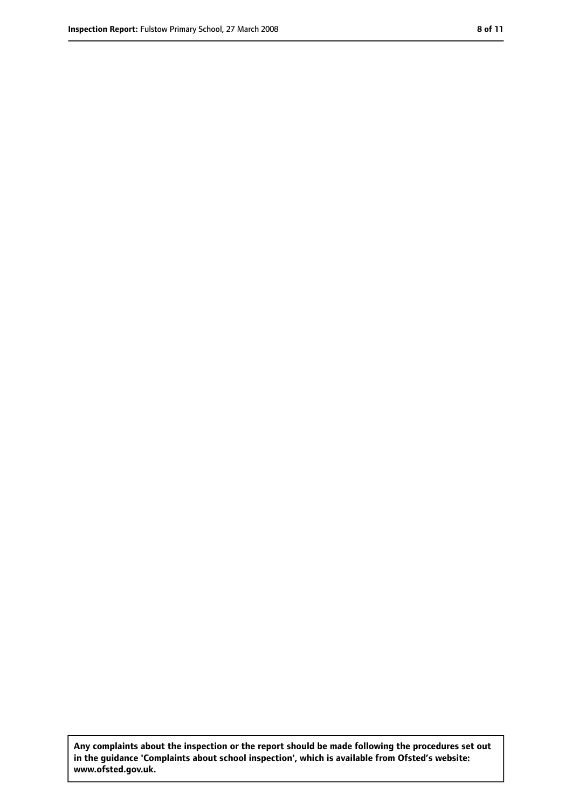**Any complaints about the inspection or the report should be made following the procedures set out in the guidance 'Complaints about school inspection', which is available from Ofsted's website: www.ofsted.gov.uk.**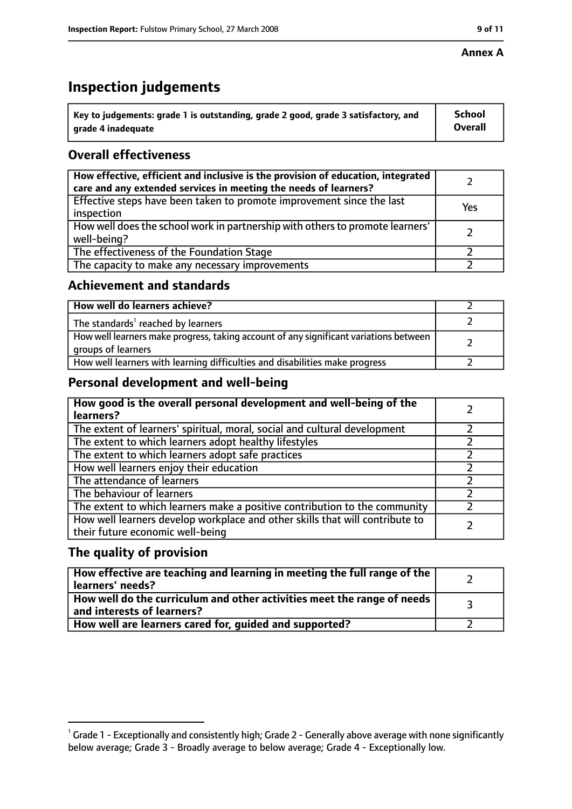#### **Annex A**

# **Inspection judgements**

| $^{\backprime}$ Key to judgements: grade 1 is outstanding, grade 2 good, grade 3 satisfactory, and | <b>School</b>  |
|----------------------------------------------------------------------------------------------------|----------------|
| arade 4 inadequate                                                                                 | <b>Overall</b> |

# **Overall effectiveness**

| How effective, efficient and inclusive is the provision of education, integrated<br>care and any extended services in meeting the needs of learners? |     |
|------------------------------------------------------------------------------------------------------------------------------------------------------|-----|
| Effective steps have been taken to promote improvement since the last<br>inspection                                                                  | Yes |
| How well does the school work in partnership with others to promote learners'<br>well-being?                                                         |     |
| The effectiveness of the Foundation Stage                                                                                                            |     |
| The capacity to make any necessary improvements                                                                                                      |     |

### **Achievement and standards**

| How well do learners achieve?                                                                               |  |
|-------------------------------------------------------------------------------------------------------------|--|
| The standards <sup>1</sup> reached by learners                                                              |  |
| How well learners make progress, taking account of any significant variations between<br>groups of learners |  |
| How well learners with learning difficulties and disabilities make progress                                 |  |

# **Personal development and well-being**

| How good is the overall personal development and well-being of the<br>learners?                                  |  |
|------------------------------------------------------------------------------------------------------------------|--|
| The extent of learners' spiritual, moral, social and cultural development                                        |  |
| The extent to which learners adopt healthy lifestyles                                                            |  |
| The extent to which learners adopt safe practices                                                                |  |
| How well learners enjoy their education                                                                          |  |
| The attendance of learners                                                                                       |  |
| The behaviour of learners                                                                                        |  |
| The extent to which learners make a positive contribution to the community                                       |  |
| How well learners develop workplace and other skills that will contribute to<br>their future economic well-being |  |

# **The quality of provision**

| How effective are teaching and learning in meeting the full range of the<br>learners' needs?          |  |
|-------------------------------------------------------------------------------------------------------|--|
| How well do the curriculum and other activities meet the range of needs<br>and interests of learners? |  |
| How well are learners cared for, guided and supported?                                                |  |

 $^1$  Grade 1 - Exceptionally and consistently high; Grade 2 - Generally above average with none significantly below average; Grade 3 - Broadly average to below average; Grade 4 - Exceptionally low.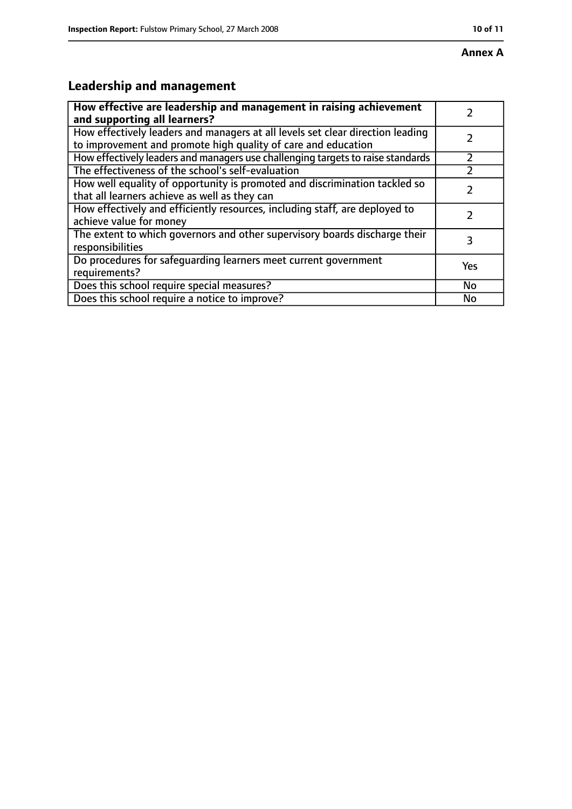# **Annex A**

# **Leadership and management**

| How effective are leadership and management in raising achievement                                                                              |           |
|-------------------------------------------------------------------------------------------------------------------------------------------------|-----------|
| and supporting all learners?                                                                                                                    |           |
| How effectively leaders and managers at all levels set clear direction leading<br>to improvement and promote high quality of care and education |           |
|                                                                                                                                                 |           |
| How effectively leaders and managers use challenging targets to raise standards                                                                 |           |
| The effectiveness of the school's self-evaluation                                                                                               |           |
| How well equality of opportunity is promoted and discrimination tackled so                                                                      |           |
| that all learners achieve as well as they can                                                                                                   |           |
| How effectively and efficiently resources, including staff, are deployed to                                                                     | 7         |
| achieve value for money                                                                                                                         |           |
| The extent to which governors and other supervisory boards discharge their                                                                      | 3         |
| responsibilities                                                                                                                                |           |
| Do procedures for safequarding learners meet current government                                                                                 | Yes       |
| requirements?                                                                                                                                   |           |
| Does this school require special measures?                                                                                                      | <b>No</b> |
| Does this school require a notice to improve?                                                                                                   | No        |